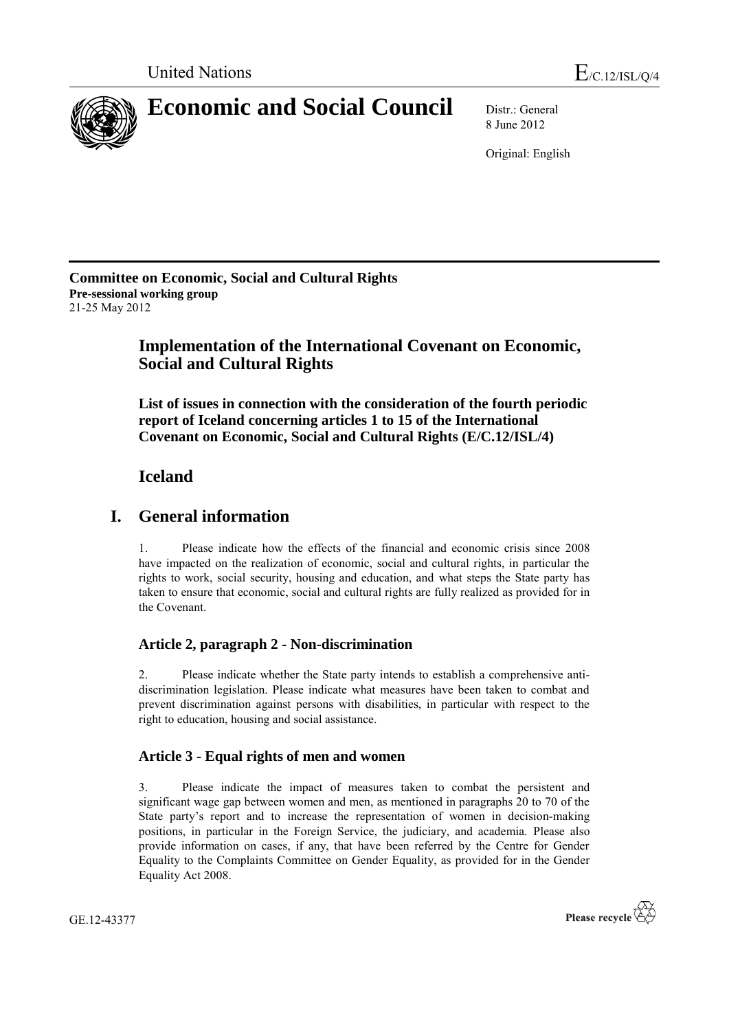

8 June 2012

Original: English

**Committee on Economic, Social and Cultural Rights Pre-sessional working group** 21-25 May 2012

# **Implementation of the International Covenant on Economic, Social and Cultural Rights**

**List of issues in connection with the consideration of the fourth periodic report of Iceland concerning articles 1 to 15 of the International Covenant on Economic, Social and Cultural Rights (E/C.12/ISL/4)**

## **Iceland**

## **I. General information**

1. Please indicate how the effects of the financial and economic crisis since 2008 have impacted on the realization of economic, social and cultural rights, in particular the rights to work, social security, housing and education, and what steps the State party has taken to ensure that economic, social and cultural rights are fully realized as provided for in the Covenant.

## **Article 2, paragraph 2 - Non-discrimination**

2. Please indicate whether the State party intends to establish a comprehensive antidiscrimination legislation. Please indicate what measures have been taken to combat and prevent discrimination against persons with disabilities, in particular with respect to the right to education, housing and social assistance.

## **Article 3 - Equal rights of men and women**

3. Please indicate the impact of measures taken to combat the persistent and significant wage gap between women and men, as mentioned in paragraphs 20 to 70 of the State party's report and to increase the representation of women in decision-making positions, in particular in the Foreign Service, the judiciary, and academia. Please also provide information on cases, if any, that have been referred by the Centre for Gender Equality to the Complaints Committee on Gender Equality, as provided for in the Gender Equality Act 2008.

GE.12-43377

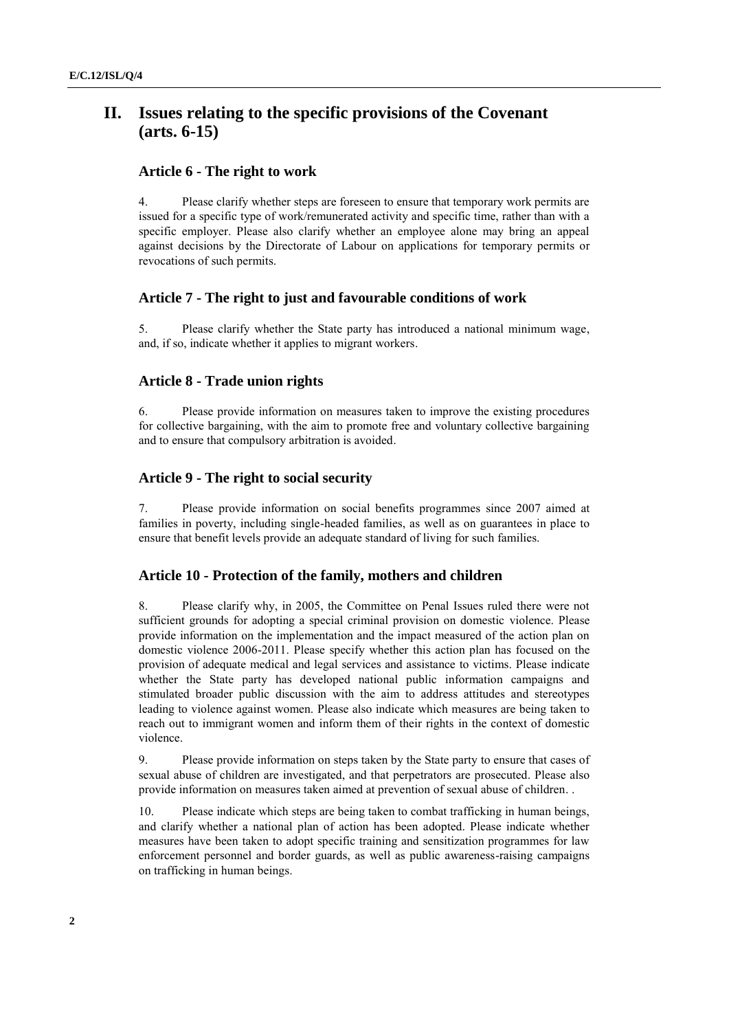# **II. Issues relating to the specific provisions of the Covenant (arts. 6-15)**

#### **Article 6 - The right to work**

4. Please clarify whether steps are foreseen to ensure that temporary work permits are issued for a specific type of work/remunerated activity and specific time, rather than with a specific employer. Please also clarify whether an employee alone may bring an appeal against decisions by the Directorate of Labour on applications for temporary permits or revocations of such permits.

#### **Article 7 - The right to just and favourable conditions of work**

5. Please clarify whether the State party has introduced a national minimum wage, and, if so, indicate whether it applies to migrant workers.

#### **Article 8 - Trade union rights**

6. Please provide information on measures taken to improve the existing procedures for collective bargaining, with the aim to promote free and voluntary collective bargaining and to ensure that compulsory arbitration is avoided.

#### **Article 9 - The right to social security**

7. Please provide information on social benefits programmes since 2007 aimed at families in poverty, including single-headed families, as well as on guarantees in place to ensure that benefit levels provide an adequate standard of living for such families.

#### **Article 10 - Protection of the family, mothers and children**

8. Please clarify why, in 2005, the Committee on Penal Issues ruled there were not sufficient grounds for adopting a special criminal provision on domestic violence. Please provide information on the implementation and the impact measured of the action plan on domestic violence 2006-2011. Please specify whether this action plan has focused on the provision of adequate medical and legal services and assistance to victims. Please indicate whether the State party has developed national public information campaigns and stimulated broader public discussion with the aim to address attitudes and stereotypes leading to violence against women. Please also indicate which measures are being taken to reach out to immigrant women and inform them of their rights in the context of domestic violence.

9. Please provide information on steps taken by the State party to ensure that cases of sexual abuse of children are investigated, and that perpetrators are prosecuted. Please also provide information on measures taken aimed at prevention of sexual abuse of children. .

10. Please indicate which steps are being taken to combat trafficking in human beings, and clarify whether a national plan of action has been adopted. Please indicate whether measures have been taken to adopt specific training and sensitization programmes for law enforcement personnel and border guards, as well as public awareness-raising campaigns on trafficking in human beings.